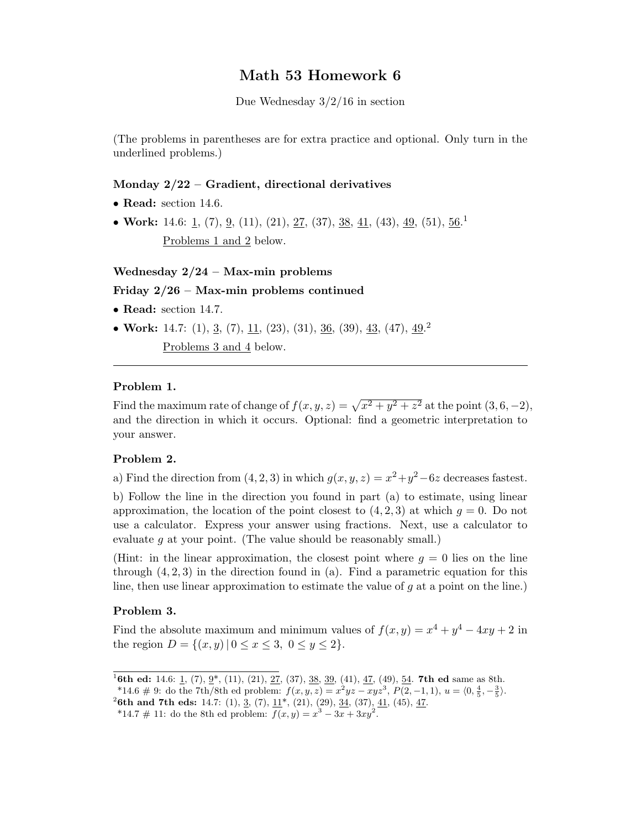# Math 53 Homework 6

Due Wednesday 3/2/16 in section

(The problems in parentheses are for extra practice and optional. Only turn in the underlined problems.)

## Monday 2/22 – Gradient, directional derivatives

- Read: section 14.6.
- Work: 14.6: 1, (7), 9, (11), (21), 27, (37), 38, 41, (43), 49, (51),  $56<sup>1</sup>$ Problems 1 and 2 below.

#### Wednesday  $2/24$  – Max-min problems

# Friday 2/26 – Max-min problems continued

- Read: section 14.7.
- Work: 14.7: (1), <u>3</u>, (7), <u>11</u>, (23), (31), <u>36</u>, (39), <u>43</u>, (47), <u>49</u><sup>2</sup>

Problems 3 and 4 below.

#### Problem 1.

Find the maximum rate of change of  $f(x, y, z) = \sqrt{x^2 + y^2 + z^2}$  at the point  $(3, 6, -2)$ , and the direction in which it occurs. Optional: find a geometric interpretation to your answer.

### Problem 2.

a) Find the direction from  $(4, 2, 3)$  in which  $g(x, y, z) = x^2 + y^2 - 6z$  decreases fastest.

b) Follow the line in the direction you found in part (a) to estimate, using linear approximation, the location of the point closest to  $(4, 2, 3)$  at which  $q = 0$ . Do not use a calculator. Express your answer using fractions. Next, use a calculator to evaluate g at your point. (The value should be reasonably small.)

(Hint: in the linear approximation, the closest point where  $q = 0$  lies on the line through  $(4, 2, 3)$  in the direction found in (a). Find a parametric equation for this line, then use linear approximation to estimate the value of  $g$  at a point on the line.)

### Problem 3.

Find the absolute maximum and minimum values of  $f(x, y) = x^4 + y^4 - 4xy + 2$  in the region  $D = \{(x, y) | 0 \le x \le 3, 0 \le y \le 2\}.$ 

<sup>&</sup>lt;sup>1</sup>6th ed: 14.6: 1, (7),  $2^*$ , (11), (21), 27, (37), 38, 39, (41), 47, (49), 54. 7th ed same as 8th.

<sup>\*14.6 # 9:</sup> do the 7th/8th ed problem:  $f(x, y, z) = x^2yz - xyz^3$ ,  $P(2, -1, 1)$ ,  $u = \langle 0, \frac{4}{5}, -\frac{3}{5} \rangle$ .

<sup>&</sup>lt;sup>2</sup>6th and 7th eds: 14.7: (1),  $\frac{3}{2}$ , (7),  $\frac{11^*}{2}$ , (21), (29),  $\frac{34}{2}$ , (37),  $\frac{41}{1}$ , (45),  $\frac{47}{2}$ .

<sup>\*14.7 # 11:</sup> do the 8th ed problem:  $f(x,y) = x^3 - 3x + 3xy^2$ .